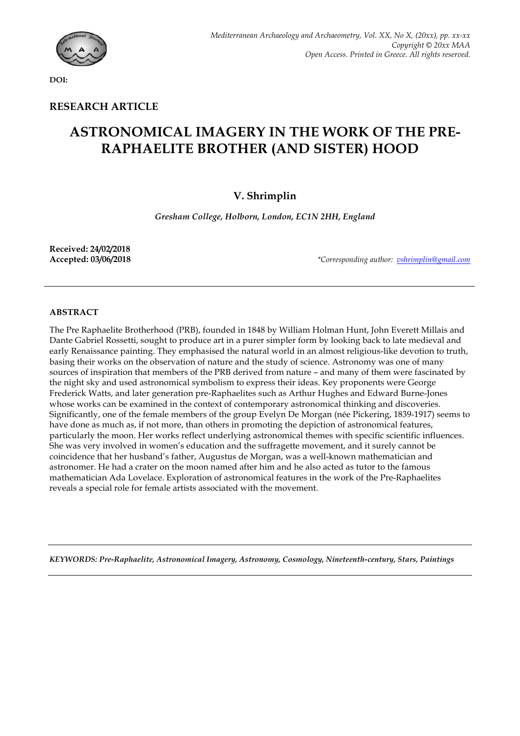

**DOI:**

# **RESEARCH ARTICLE**

# **ASTRONOMICAL IMAGERY IN THE WORK OF THE PRE-RAPHAELITE BROTHER (AND SISTER) HOOD**

# **V. Shrimplin**

*Gresham College, Holborn, London, EC1N 2HH, England*

**Received: 24/02/2018**

**Accepted: 03/06/2018** *\*Corresponding author: vshrimplin@gmail.com*

# **ABSTRACT**

The Pre Raphaelite Brotherhood (PRB), founded in 1848 by William Holman Hunt, John Everett Millais and Dante Gabriel Rossetti, sought to produce art in a purer simpler form by looking back to late medieval and early Renaissance painting. They emphasised the natural world in an almost religious-like devotion to truth, basing their works on the observation of nature and the study of science. Astronomy was one of many sources of inspiration that members of the PRB derived from nature – and many of them were fascinated by the night sky and used astronomical symbolism to express their ideas. Key proponents were George Frederick Watts, and later generation pre-Raphaelites such as Arthur Hughes and Edward Burne-Jones whose works can be examined in the context of contemporary astronomical thinking and discoveries. Significantly, one of the female members of the group Evelyn De Morgan (née Pickering, 1839-1917) seems to have done as much as, if not more, than others in promoting the depiction of astronomical features, particularly the moon. Her works reflect underlying astronomical themes with specific scientific influences. She was very involved in women's education and the suffragette movement, and it surely cannot be coincidence that her husband's father, Augustus de Morgan, was a well-known mathematician and astronomer. He had a crater on the moon named after him and he also acted as tutor to the famous mathematician Ada Lovelace. Exploration of astronomical features in the work of the Pre-Raphaelites reveals a special role for female artists associated with the movement.

*KEYWORDS: Pre-Raphaelite, Astronomical Imagery, Astronomy, Cosmology, Nineteenth-century, Stars, Paintings*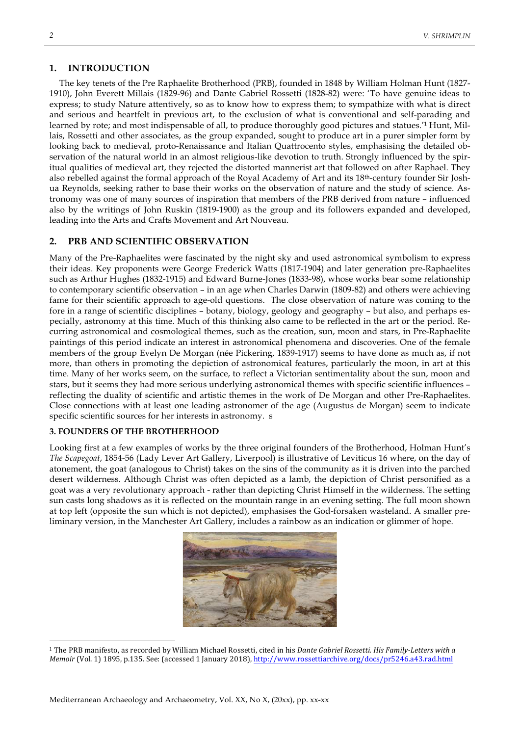#### **1. INTRODUCTION**

The key tenets of the Pre Raphaelite Brotherhood (PRB), founded in 1848 by William Holman Hunt (1827- 1910), John Everett Millais (1829-96) and Dante Gabriel Rossetti (1828-82) were: 'To have genuine ideas to express; to study Nature attentively, so as to know how to express them; to sympathize with what is direct and serious and heartfelt in previous art, to the exclusion of what is conventional and self-parading and learned by rote; and most indispensable of all, to produce thoroughly good pictures and statues.'1 Hunt, Millais, Rossetti and other associates, as the group expanded, sought to produce art in a purer simpler form by looking back to medieval, proto-Renaissance and Italian Quattrocento styles, emphasising the detailed observation of the natural world in an almost religious-like devotion to truth. Strongly influenced by the spiritual qualities of medieval art, they rejected the distorted mannerist art that followed on after Raphael. They also rebelled against the formal approach of the Royal Academy of Art and its 18th-century founder Sir Joshua Reynolds, seeking rather to base their works on the observation of nature and the study of science. Astronomy was one of many sources of inspiration that members of the PRB derived from nature – influenced also by the writings of John Ruskin (1819-1900) as the group and its followers expanded and developed, leading into the Arts and Crafts Movement and Art Nouveau.

## **2. PRB AND SCIENTIFIC OBSERVATION**

Many of the Pre-Raphaelites were fascinated by the night sky and used astronomical symbolism to express their ideas. Key proponents were George Frederick Watts (1817-1904) and later generation pre-Raphaelites such as Arthur Hughes (1832-1915) and Edward Burne-Jones (1833-98), whose works bear some relationship to contemporary scientific observation – in an age when Charles Darwin (1809-82) and others were achieving fame for their scientific approach to age-old questions. The close observation of nature was coming to the fore in a range of scientific disciplines – botany, biology, geology and geography – but also, and perhaps especially, astronomy at this time. Much of this thinking also came to be reflected in the art or the period. Recurring astronomical and cosmological themes, such as the creation, sun, moon and stars, in Pre-Raphaelite paintings of this period indicate an interest in astronomical phenomena and discoveries. One of the female members of the group Evelyn De Morgan (née Pickering, 1839-1917) seems to have done as much as, if not more, than others in promoting the depiction of astronomical features, particularly the moon, in art at this time. Many of her works seem, on the surface, to reflect a Victorian sentimentality about the sun, moon and stars, but it seems they had more serious underlying astronomical themes with specific scientific influences – reflecting the duality of scientific and artistic themes in the work of De Morgan and other Pre-Raphaelites. Close connections with at least one leading astronomer of the age (Augustus de Morgan) seem to indicate specific scientific sources for her interests in astronomy. s

#### **3. FOUNDERS OF THE BROTHERHOOD**

Looking first at a few examples of works by the three original founders of the Brotherhood, Holman Hunt's *The Scapegoat*, 1854-56 (Lady Lever Art Gallery, Liverpool) is illustrative of Leviticus 16 where, on the day of atonement, the goat (analogous to Christ) takes on the sins of the community as it is driven into the parched desert wilderness. Although Christ was often depicted as a lamb, the depiction of Christ personified as a goat was a very revolutionary approach - rather than depicting Christ Himself in the wilderness. The setting sun casts long shadows as it is reflected on the mountain range in an evening setting. The full moon shown at top left (opposite the sun which is not depicted), emphasises the God-forsaken wasteland. A smaller preliminary version, in the Manchester Art Gallery, includes a rainbow as an indication or glimmer of hope.



<sup>1</sup> The PRB manifesto, as recorded by William Michael Rossetti, cited in his *Dante Gabriel Rossetti. His Family-Letters with a Memoir* (Vol. 1) 1895, p.135. See: (accessed 1 January 2018), http://www.rossettiarchive.org/docs/pr5246.a43.rad.html

 $\overline{a}$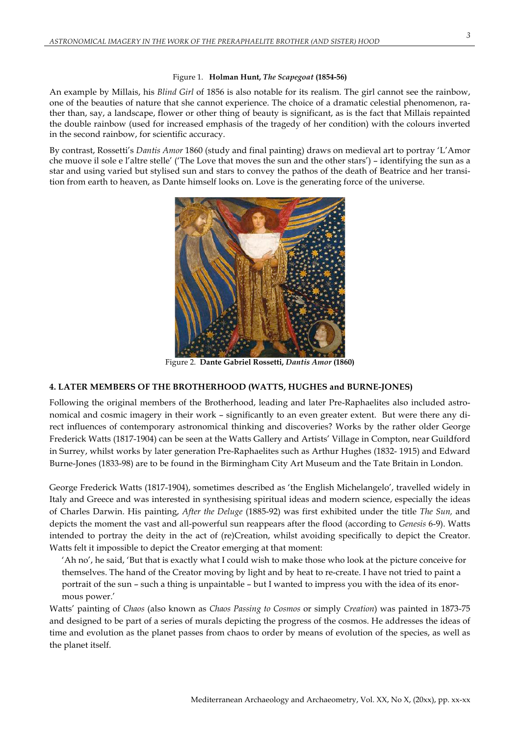#### Figure 1. **Holman Hunt,** *The Scapegoat* **(1854-56)**

An example by Millais, his *Blind Girl* of 1856 is also notable for its realism. The girl cannot see the rainbow, one of the beauties of nature that she cannot experience. The choice of a dramatic celestial phenomenon, rather than, say, a landscape, flower or other thing of beauty is significant, as is the fact that Millais repainted the double rainbow (used for increased emphasis of the tragedy of her condition) with the colours inverted in the second rainbow, for scientific accuracy.

By contrast, Rossetti's *Dantis Amor* 1860 (study and final painting) draws on medieval art to portray 'L'Amor che muove il sole e l'altre stelle' ('The Love that moves the sun and the other stars') – identifying the sun as a star and using varied but stylised sun and stars to convey the pathos of the death of Beatrice and her transition from earth to heaven, as Dante himself looks on. Love is the generating force of the universe.



Figure 2. **Dante Gabriel Rossetti,** *Dantis Amor* **(1860)**

# **4. LATER MEMBERS OF THE BROTHERHOOD (WATTS, HUGHES and BURNE-JONES)**

Following the original members of the Brotherhood, leading and later Pre-Raphaelites also included astronomical and cosmic imagery in their work – significantly to an even greater extent. But were there any direct influences of contemporary astronomical thinking and discoveries? Works by the rather older George Frederick Watts (1817-1904) can be seen at the Watts Gallery and Artists' Village in Compton, near Guildford in Surrey, whilst works by later generation Pre-Raphaelites such as Arthur Hughes (1832- 1915) and Edward Burne-Jones (1833-98) are to be found in the Birmingham City Art Museum and the Tate Britain in London.

George Frederick Watts (1817-1904), sometimes described as 'the English Michelangelo', travelled widely in Italy and Greece and was interested in synthesising spiritual ideas and modern science, especially the ideas of Charles Darwin. His painting, *After the Deluge* (1885-92) was first exhibited under the title *The Sun,* and depicts the moment the vast and all-powerful sun reappears after the flood (according to *Genesis* 6-9). Watts intended to portray the deity in the act of (re)Creation, whilst avoiding specifically to depict the Creator. Watts felt it impossible to depict the Creator emerging at that moment:

'Ah no', he said, 'But that is exactly what I could wish to make those who look at the picture conceive for themselves. The hand of the Creator moving by light and by heat to re-create. I have not tried to paint a portrait of the sun – such a thing is unpaintable – but I wanted to impress you with the idea of its enormous power.'

Watts' painting of *Chaos* (also known as *Chaos Passing to Cosmos* or simply *Creation*) was painted in 1873-75 and designed to be part of a series of murals depicting the progress of the cosmos. He addresses the ideas of time and evolution as the planet passes from chaos to order by means of evolution of the species, as well as the planet itself.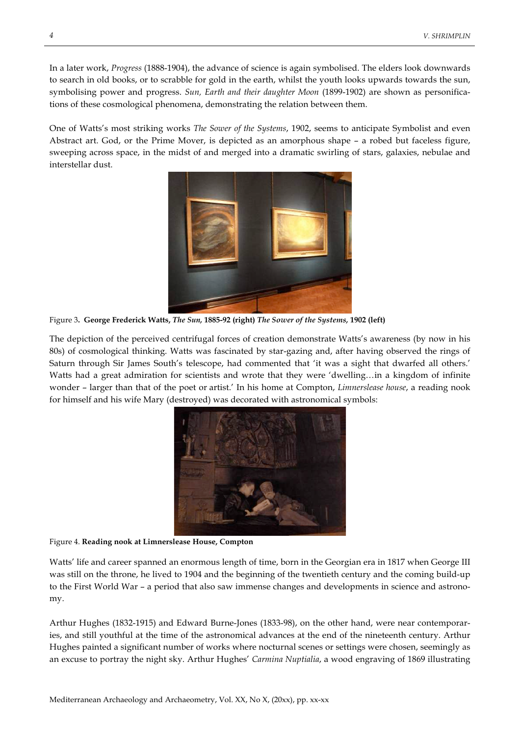In a later work, *Progress* (1888-1904), the advance of science is again symbolised. The elders look downwards to search in old books, or to scrabble for gold in the earth, whilst the youth looks upwards towards the sun, symbolising power and progress. *Sun, Earth and their daughter Moon* (1899-1902) are shown as personifications of these cosmological phenomena, demonstrating the relation between them.

One of Watts's most striking works *The Sower of the Systems*, 1902, seems to anticipate Symbolist and even Abstract art. God, or the Prime Mover, is depicted as an amorphous shape – a robed but faceless figure, sweeping across space, in the midst of and merged into a dramatic swirling of stars, galaxies, nebulae and interstellar dust.



Figure 3**. George Frederick Watts,** *The Sun,* **1885-92 (right)** *The Sower of the Systems,* **1902 (left)**

The depiction of the perceived centrifugal forces of creation demonstrate Watts's awareness (by now in his 80s) of cosmological thinking. Watts was fascinated by star-gazing and, after having observed the rings of Saturn through Sir James South's telescope, had commented that 'it was a sight that dwarfed all others.' Watts had a great admiration for scientists and wrote that they were 'dwelling…in a kingdom of infinite wonder – larger than that of the poet or artist.' In his home at Compton, *Limnerslease house*, a reading nook for himself and his wife Mary (destroyed) was decorated with astronomical symbols:



Figure 4. **Reading nook at Limnerslease House, Compton**

Watts' life and career spanned an enormous length of time, born in the Georgian era in 1817 when George III was still on the throne, he lived to 1904 and the beginning of the twentieth century and the coming build-up to the First World War – a period that also saw immense changes and developments in science and astronomy.

Arthur Hughes (1832-1915) and Edward Burne-Jones (1833-98), on the other hand, were near contemporaries, and still youthful at the time of the astronomical advances at the end of the nineteenth century. Arthur Hughes painted a significant number of works where nocturnal scenes or settings were chosen, seemingly as an excuse to portray the night sky. Arthur Hughes' *Carmina Nuptialia*, a wood engraving of 1869 illustrating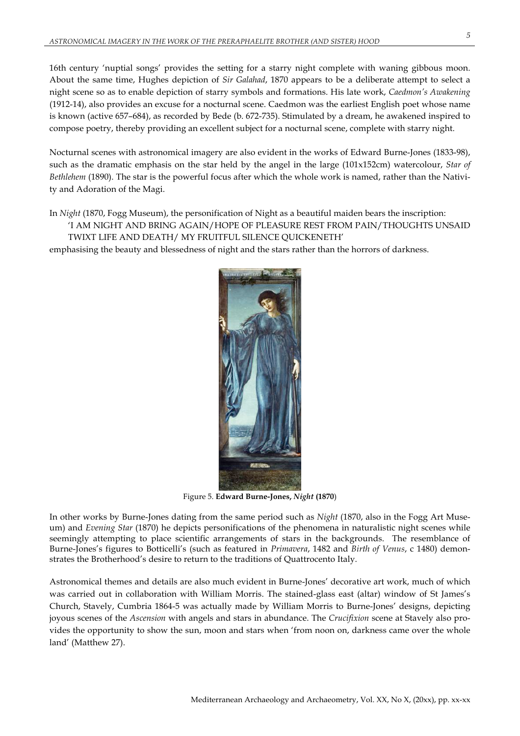16th century 'nuptial songs' provides the setting for a starry night complete with waning gibbous moon. About the same time, Hughes depiction of *Sir Galahad*, 1870 appears to be a deliberate attempt to select a night scene so as to enable depiction of starry symbols and formations. His late work, *Caedmon's Awakening* (1912-14), also provides an excuse for a nocturnal scene. Caedmon was the earliest English poet whose name is known (active 657–684), as recorded by Bede (b. 672-735). Stimulated by a dream, he awakened inspired to compose poetry, thereby providing an excellent subject for a nocturnal scene, complete with starry night.

Nocturnal scenes with astronomical imagery are also evident in the works of Edward Burne-Jones (1833-98), such as the dramatic emphasis on the star held by the angel in the large (101x152cm) watercolour, *Star of Bethlehem* (1890). The star is the powerful focus after which the whole work is named, rather than the Nativity and Adoration of the Magi.

In *Night* (1870, Fogg Museum), the personification of Night as a beautiful maiden bears the inscription: 'I AM NIGHT AND BRING AGAIN/HOPE OF PLEASURE REST FROM PAIN/THOUGHTS UNSAID TWIXT LIFE AND DEATH/ MY FRUITFUL SILENCE QUICKENETH'

emphasising the beauty and blessedness of night and the stars rather than the horrors of darkness.



Figure 5. **Edward Burne-Jones,** *Night* **(1870**)

In other works by Burne-Jones dating from the same period such as *Night* (1870, also in the Fogg Art Museum) and *Evening Star* (1870) he depicts personifications of the phenomena in naturalistic night scenes while seemingly attempting to place scientific arrangements of stars in the backgrounds. The resemblance of Burne-Jones's figures to Botticelli's (such as featured in *Primavera*, 1482 and *Birth of Venus*, c 1480) demonstrates the Brotherhood's desire to return to the traditions of Quattrocento Italy.

Astronomical themes and details are also much evident in Burne-Jones' decorative art work, much of which was carried out in collaboration with William Morris. The stained-glass east (altar) window of St James's Church, Stavely, Cumbria 1864-5 was actually made by William Morris to Burne-Jones' designs, depicting joyous scenes of the *Ascension* with angels and stars in abundance. The *Crucifixion* scene at Stavely also provides the opportunity to show the sun, moon and stars when 'from noon on, darkness came over the whole land' (Matthew 27).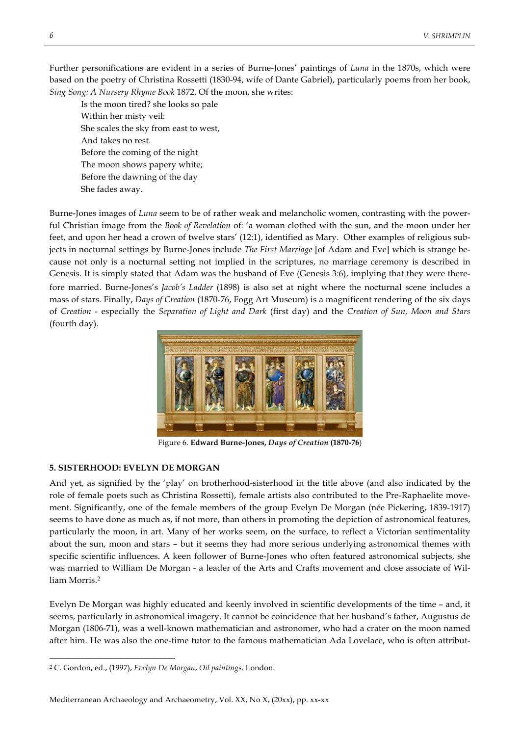Further personifications are evident in a series of Burne-Jones' paintings of *Luna* in the 1870s, which were based on the poetry of Christina Rossetti (1830-94, wife of Dante Gabriel), particularly poems from her book, *Sing Song: A Nursery Rhyme Book* 1872. Of the moon, she writes:

Is the moon tired? she looks so pale Within her misty veil: She scales the sky from east to west, And takes no rest. Before the coming of the night The moon shows papery white; Before the dawning of the day She fades away.

Burne-Jones images of *Luna* seem to be of rather weak and melancholic women, contrasting with the powerful Christian image from the *Book of Revelation* of: 'a woman clothed with the sun, and the moon under her feet, and upon her head a crown of twelve stars' (12:1), identified as Mary. Other examples of religious subjects in nocturnal settings by Burne-Jones include *The First Marriage* [of Adam and Eve] which is strange because not only is a nocturnal setting not implied in the scriptures, no marriage ceremony is described in Genesis. It is simply stated that Adam was the husband of Eve (Genesis 3:6), implying that they were therefore married. Burne-Jones's *Jacob's Ladder* (1898) is also set at night where the nocturnal scene includes a mass of stars. Finally, *Days of Creation* (1870-76, Fogg Art Museum) is a magnificent rendering of the six days of *Creation* - especially the *Separation of Light and Dark* (first day) and the *Creation of Sun, Moon and Stars* (fourth day).



Figure 6. **Edward Burne-Jones,** *Days of Creation* **(1870-76**)

#### **5. SISTERHOOD: EVELYN DE MORGAN**

And yet, as signified by the 'play' on brotherhood-sisterhood in the title above (and also indicated by the role of female poets such as Christina Rossetti), female artists also contributed to the Pre-Raphaelite movement. Significantly, one of the female members of the group Evelyn De Morgan (née Pickering, 1839-1917) seems to have done as much as, if not more, than others in promoting the depiction of astronomical features, particularly the moon, in art. Many of her works seem, on the surface, to reflect a Victorian sentimentality about the sun, moon and stars – but it seems they had more serious underlying astronomical themes with specific scientific influences. A keen follower of Burne-Jones who often featured astronomical subjects, she was married to William De Morgan - a leader of the Arts and Crafts movement and close associate of William Morris.2

Evelyn De Morgan was highly educated and keenly involved in scientific developments of the time – and, it seems, particularly in astronomical imagery. It cannot be coincidence that her husband's father, Augustus de Morgan (1806-71), was a well-known mathematician and astronomer, who had a crater on the moon named after him. He was also the one-time tutor to the famous mathematician Ada Lovelace, who is often attribut-

 <sup>2</sup> C. Gordon, ed., (1997), *Evelyn De Morgan*, *Oil paintings,* London.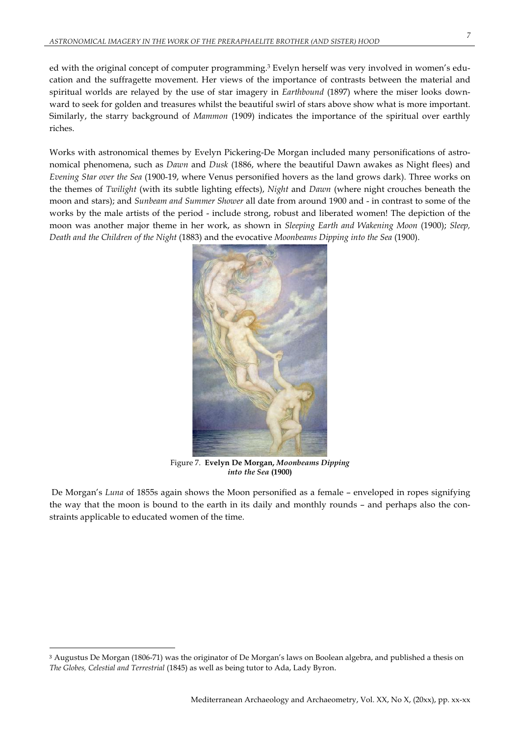ed with the original concept of computer programming.3 Evelyn herself was very involved in women's education and the suffragette movement. Her views of the importance of contrasts between the material and spiritual worlds are relayed by the use of star imagery in *Earthbound* (1897) where the miser looks downward to seek for golden and treasures whilst the beautiful swirl of stars above show what is more important. Similarly, the starry background of *Mammon* (1909) indicates the importance of the spiritual over earthly riches.

Works with astronomical themes by Evelyn Pickering-De Morgan included many personifications of astronomical phenomena, such as *Dawn* and *Dusk* (1886, where the beautiful Dawn awakes as Night flees) and *Evening Star over the Sea* (1900-19, where Venus personified hovers as the land grows dark). Three works on the themes of *Twilight* (with its subtle lighting effects), *Night* and *Dawn* (where night crouches beneath the moon and stars); and *Sunbeam and Summer Shower* all date from around 1900 and - in contrast to some of the works by the male artists of the period - include strong, robust and liberated women! The depiction of the moon was another major theme in her work, as shown in *Sleeping Earth and Wakening Moon* (1900); *Sleep, Death and the Children of the Night* (1883) and the evocative *Moonbeams Dipping into the Sea* (1900).



Figure 7. **Evelyn De Morgan,** *Moonbeams Dipping into the Sea* **(1900)**

De Morgan's *Luna* of 1855s again shows the Moon personified as a female – enveloped in ropes signifying the way that the moon is bound to the earth in its daily and monthly rounds – and perhaps also the constraints applicable to educated women of the time.

 $\overline{a}$ 

<sup>3</sup> Augustus De Morgan (1806-71) was the originator of De Morgan's laws on Boolean algebra, and published a thesis on *The Globes, Celestial and Terrestrial* (1845) as well as being tutor to Ada, Lady Byron.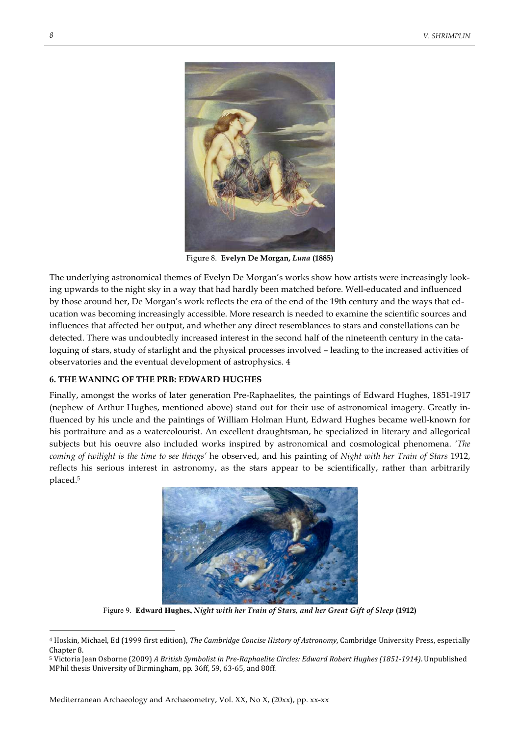

Figure 8. **Evelyn De Morgan,** *Luna* **(1885)**

The underlying astronomical themes of Evelyn De Morgan's works show how artists were increasingly looking upwards to the night sky in a way that had hardly been matched before. Well-educated and influenced by those around her, De Morgan's work reflects the era of the end of the 19th century and the ways that education was becoming increasingly accessible. More research is needed to examine the scientific sources and influences that affected her output, and whether any direct resemblances to stars and constellations can be detected. There was undoubtedly increased interest in the second half of the nineteenth century in the cataloguing of stars, study of starlight and the physical processes involved – leading to the increased activities of observatories and the eventual development of astrophysics. 4

#### **6. THE WANING OF THE PRB: EDWARD HUGHES**

Finally, amongst the works of later generation Pre-Raphaelites, the paintings of Edward Hughes, 1851-1917 (nephew of Arthur Hughes, mentioned above) stand out for their use of astronomical imagery. Greatly influenced by his uncle and the paintings of William Holman Hunt, Edward Hughes became well-known for his portraiture and as a watercolourist. An excellent draughtsman, he specialized in literary and allegorical subjects but his oeuvre also included works inspired by astronomical and cosmological phenomena. *'The coming of twilight is the time to see things'* he observed, and his painting of *Night with her Train of Stars* 1912, reflects his serious interest in astronomy, as the stars appear to be scientifically, rather than arbitrarily placed.5



Figure 9. **Edward Hughes,** *Night with her Train of Stars, and her Great Gift of Sleep* **(1912)**

<sup>&</sup>lt;sup>4</sup> Hoskin, Michael, Ed (1999 first edition), *The Cambridge Concise History of Astronomy*, Cambridge University Press, especially Chapter 8.

<sup>5</sup> Victoria Jean Osborne (2009) *A British Symbolist in Pre-Raphaelite Circles: Edward Robert Hughes (1851-1914)*. Unpublished MPhil thesis University of Birmingham, pp. 36ff, 59, 63-65, and 80ff.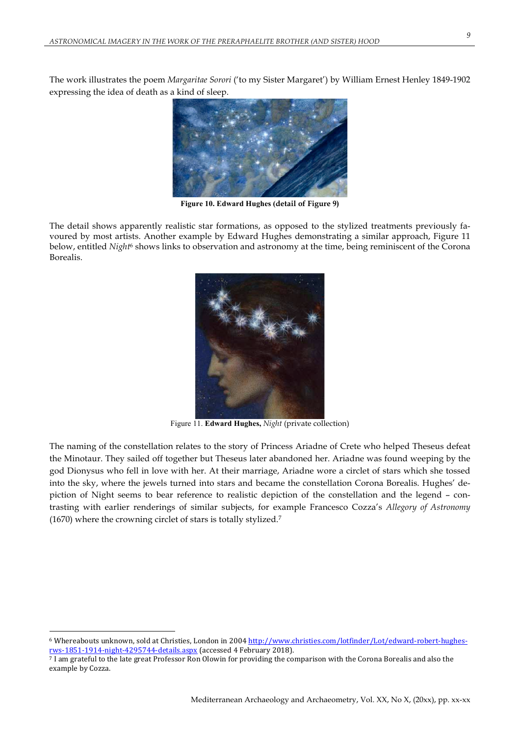The work illustrates the poem *Margaritae Sorori* ('to my Sister Margaret') by William Ernest Henley 1849-1902 expressing the idea of death as a kind of sleep.



**Figure 10. Edward Hughes (detail of Figure 9)**

The detail shows apparently realistic star formations, as opposed to the stylized treatments previously favoured by most artists. Another example by Edward Hughes demonstrating a similar approach, Figure 11 below, entitled *Night*<sup>6</sup> shows links to observation and astronomy at the time, being reminiscent of the Corona Borealis.



Figure 11. **Edward Hughes,** *Night* (private collection)

The naming of the constellation relates to the story of Princess Ariadne of Crete who helped Theseus defeat the Minotaur. They sailed off together but Theseus later abandoned her. Ariadne was found weeping by the god Dionysus who fell in love with her. At their marriage, Ariadne wore a circlet of stars which she tossed into the sky, where the jewels turned into stars and became the constellation Corona Borealis. Hughes' depiction of Night seems to bear reference to realistic depiction of the constellation and the legend – contrasting with earlier renderings of similar subjects, for example Francesco Cozza's *Allegory of Astronomy*  (1670) where the crowning circlet of stars is totally stylized.7

 $\overline{a}$ 

<sup>&</sup>lt;sup>6</sup> Whereabouts unknown, sold at Christies, London in 2004 http://www.christies.com/lotfinder/Lot/edward-robert-hughesrws-1851-1914-night-4295744-details.aspx (accessed 4 February 2018).

<sup>7</sup> I am grateful to the late great Professor Ron Olowin for providing the comparison with the Corona Borealis and also the example by Cozza.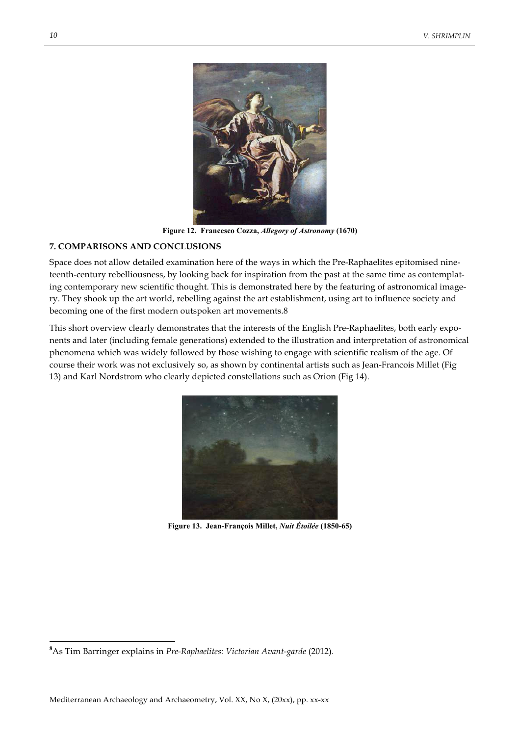

**Figure 12. Francesco Cozza,** *Allegory of Astronomy* **(1670)**

## **7. COMPARISONS AND CONCLUSIONS**

Space does not allow detailed examination here of the ways in which the Pre-Raphaelites epitomised nineteenth-century rebelliousness, by looking back for inspiration from the past at the same time as contemplating contemporary new scientific thought. This is demonstrated here by the featuring of astronomical imagery. They shook up the art world, rebelling against the art establishment, using art to influence society and becoming one of the first modern outspoken art movements.8

This short overview clearly demonstrates that the interests of the English Pre-Raphaelites, both early exponents and later (including female generations) extended to the illustration and interpretation of astronomical phenomena which was widely followed by those wishing to engage with scientific realism of the age. Of course their work was not exclusively so, as shown by continental artists such as Jean-Francois Millet (Fig 13) and Karl Nordstrom who clearly depicted constellations such as Orion (Fig 14).



**Figure 13. Jean-François Millet,** *Nuit Étoilée* **(1850-65)**

**8** As Tim Barringer explains in *Pre-Raphaelites: Victorian Avant-garde* (2012).